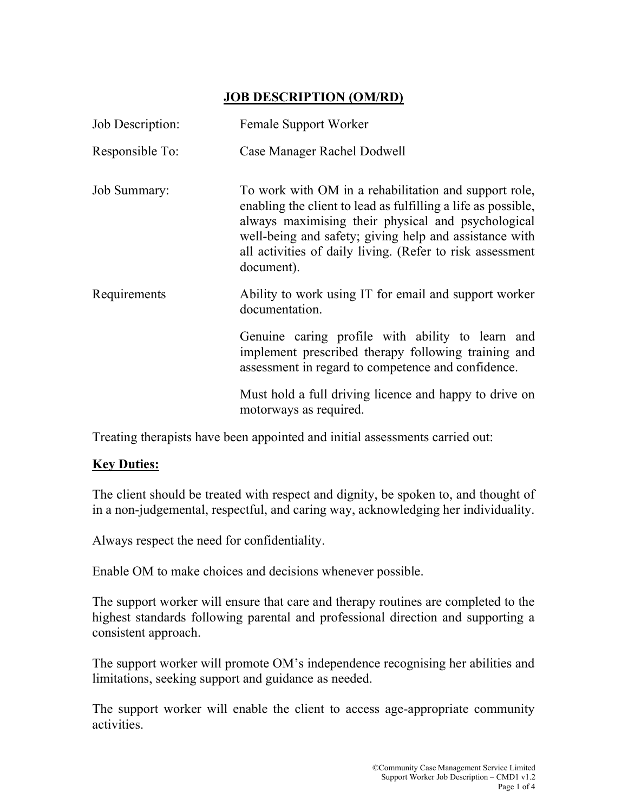## JOB DESCRIPTION (OM/RD)

| Job Description:    | Female Support Worker                                                                                                                                                                                                                                                                                             |  |  |  |  |
|---------------------|-------------------------------------------------------------------------------------------------------------------------------------------------------------------------------------------------------------------------------------------------------------------------------------------------------------------|--|--|--|--|
| Responsible To:     | Case Manager Rachel Dodwell                                                                                                                                                                                                                                                                                       |  |  |  |  |
| <b>Job Summary:</b> | To work with OM in a rehabilitation and support role,<br>enabling the client to lead as fulfilling a life as possible,<br>always maximising their physical and psychological<br>well-being and safety; giving help and assistance with<br>all activities of daily living. (Refer to risk assessment<br>document). |  |  |  |  |
| Requirements        | Ability to work using IT for email and support worker<br>documentation.                                                                                                                                                                                                                                           |  |  |  |  |
|                     | Genuine caring profile with ability to learn and<br>implement prescribed therapy following training and<br>assessment in regard to competence and confidence.                                                                                                                                                     |  |  |  |  |
|                     | Must hold a full driving licence and happy to drive on<br>motorways as required.                                                                                                                                                                                                                                  |  |  |  |  |

Treating therapists have been appointed and initial assessments carried out:

## **Key Duties:**

The client should be treated with respect and dignity, be spoken to, and thought of in a non-judgemental, respectful, and caring way, acknowledging her individuality.

Always respect the need for confidentiality.

Enable OM to make choices and decisions whenever possible.

The support worker will ensure that care and therapy routines are completed to the highest standards following parental and professional direction and supporting a consistent approach.

The support worker will promote OM's independence recognising her abilities and limitations, seeking support and guidance as needed.

The support worker will enable the client to access age-appropriate community activities.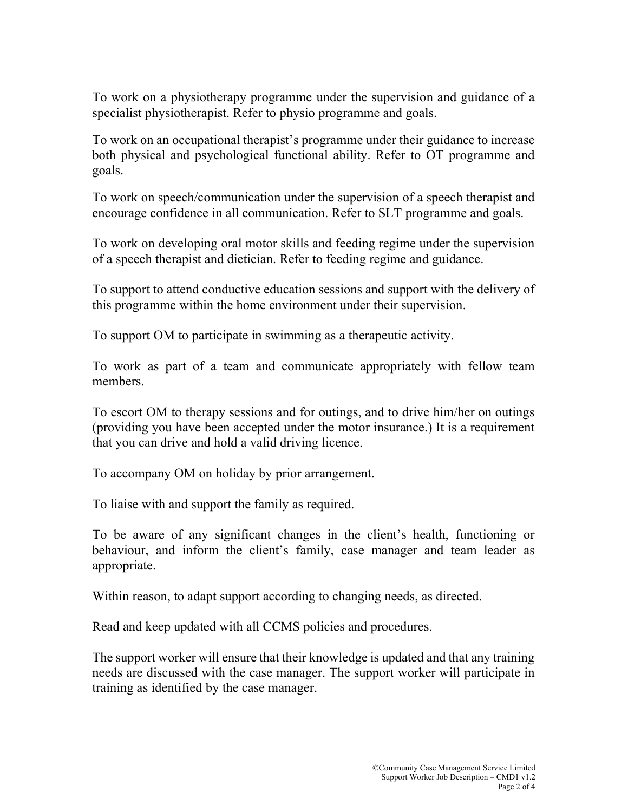To work on a physiotherapy programme under the supervision and guidance of a specialist physiotherapist. Refer to physio programme and goals.

To work on an occupational therapist's programme under their guidance to increase both physical and psychological functional ability. Refer to OT programme and goals.

To work on speech/communication under the supervision of a speech therapist and encourage confidence in all communication. Refer to SLT programme and goals.

To work on developing oral motor skills and feeding regime under the supervision of a speech therapist and dietician. Refer to feeding regime and guidance.

To support to attend conductive education sessions and support with the delivery of this programme within the home environment under their supervision.

To support OM to participate in swimming as a therapeutic activity.

To work as part of a team and communicate appropriately with fellow team members.

To escort OM to therapy sessions and for outings, and to drive him/her on outings (providing you have been accepted under the motor insurance.) It is a requirement that you can drive and hold a valid driving licence.

To accompany OM on holiday by prior arrangement.

To liaise with and support the family as required.

To be aware of any significant changes in the client's health, functioning or behaviour, and inform the client's family, case manager and team leader as appropriate.

Within reason, to adapt support according to changing needs, as directed.

Read and keep updated with all CCMS policies and procedures.

The support worker will ensure that their knowledge is updated and that any training needs are discussed with the case manager. The support worker will participate in training as identified by the case manager.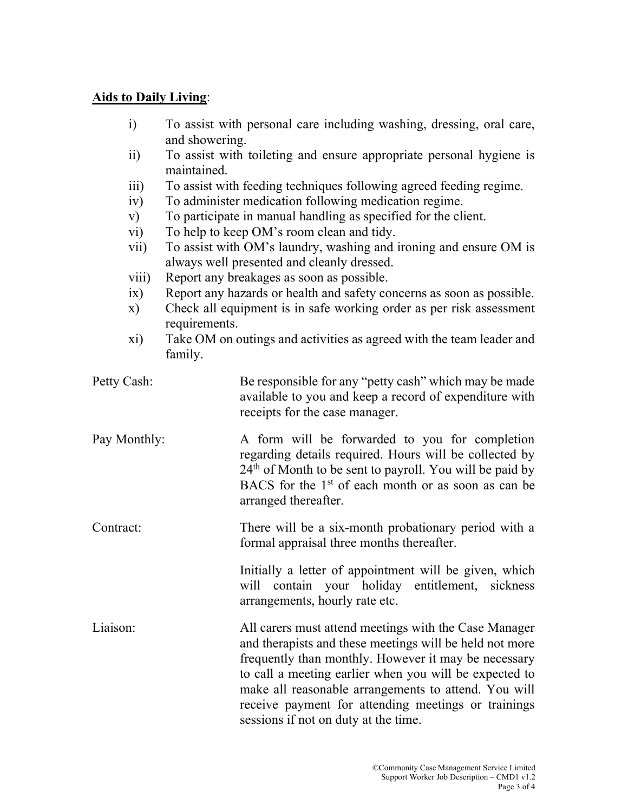## Aids to Daily Living: Ξ

| i)<br>$\overline{11}$<br>iii)<br>iv)<br>V)<br>$\rm vi)$<br>$\overline{\text{vii}}$<br>viii)<br>ix)<br>$\mathbf{x})$<br>xi) | To assist with personal care including washing, dressing, oral care,<br>and showering.<br>To assist with toileting and ensure appropriate personal hygiene is<br>maintained.<br>To assist with feeding techniques following agreed feeding regime.<br>To administer medication following medication regime.<br>To participate in manual handling as specified for the client.<br>To help to keep OM's room clean and tidy.<br>To assist with OM's laundry, washing and ironing and ensure OM is<br>always well presented and cleanly dressed.<br>Report any breakages as soon as possible.<br>Report any hazards or health and safety concerns as soon as possible.<br>Check all equipment is in safe working order as per risk assessment<br>requirements.<br>Take OM on outings and activities as agreed with the team leader and<br>family. |                                                                                                                                                                                                                                                                                                                                                                                           |  |  |  |  |
|----------------------------------------------------------------------------------------------------------------------------|------------------------------------------------------------------------------------------------------------------------------------------------------------------------------------------------------------------------------------------------------------------------------------------------------------------------------------------------------------------------------------------------------------------------------------------------------------------------------------------------------------------------------------------------------------------------------------------------------------------------------------------------------------------------------------------------------------------------------------------------------------------------------------------------------------------------------------------------|-------------------------------------------------------------------------------------------------------------------------------------------------------------------------------------------------------------------------------------------------------------------------------------------------------------------------------------------------------------------------------------------|--|--|--|--|
| Petty Cash:                                                                                                                |                                                                                                                                                                                                                                                                                                                                                                                                                                                                                                                                                                                                                                                                                                                                                                                                                                                | Be responsible for any "petty cash" which may be made<br>available to you and keep a record of expenditure with<br>receipts for the case manager.                                                                                                                                                                                                                                         |  |  |  |  |
| Pay Monthly:                                                                                                               |                                                                                                                                                                                                                                                                                                                                                                                                                                                                                                                                                                                                                                                                                                                                                                                                                                                | A form will be forwarded to you for completion<br>regarding details required. Hours will be collected by<br>24 <sup>th</sup> of Month to be sent to payroll. You will be paid by<br>BACS for the 1 <sup>st</sup> of each month or as soon as can be<br>arranged thereafter.                                                                                                               |  |  |  |  |
| Contract:                                                                                                                  |                                                                                                                                                                                                                                                                                                                                                                                                                                                                                                                                                                                                                                                                                                                                                                                                                                                | There will be a six-month probationary period with a<br>formal appraisal three months thereafter.                                                                                                                                                                                                                                                                                         |  |  |  |  |
|                                                                                                                            |                                                                                                                                                                                                                                                                                                                                                                                                                                                                                                                                                                                                                                                                                                                                                                                                                                                | Initially a letter of appointment will be given, which<br>will contain your holiday entitlement, sickness<br>arrangements, hourly rate etc.                                                                                                                                                                                                                                               |  |  |  |  |
| Liaison:                                                                                                                   |                                                                                                                                                                                                                                                                                                                                                                                                                                                                                                                                                                                                                                                                                                                                                                                                                                                | All carers must attend meetings with the Case Manager<br>and therapists and these meetings will be held not more<br>frequently than monthly. However it may be necessary<br>to call a meeting earlier when you will be expected to<br>make all reasonable arrangements to attend. You will<br>receive payment for attending meetings or trainings<br>sessions if not on duty at the time. |  |  |  |  |